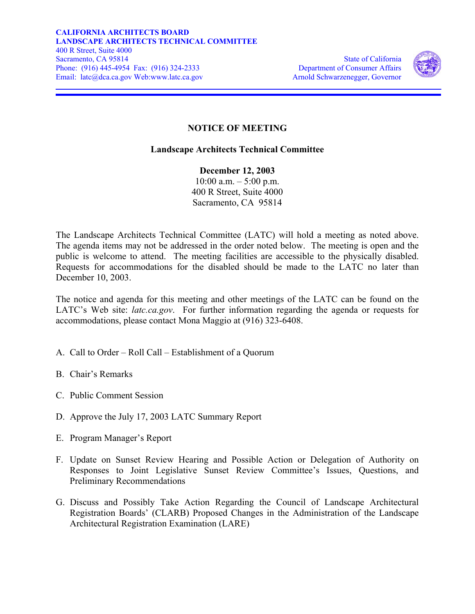

## **NOTICE OF MEETING**

## **Landscape Architects Technical Committee**

**December 12, 2003**   $10:00$  a.m.  $-5:00$  p.m. 400 R Street, Suite 4000 Sacramento, CA 95814

The Landscape Architects Technical Committee (LATC) will hold a meeting as noted above. The agenda items may not be addressed in the order noted below. The meeting is open and the public is welcome to attend. The meeting facilities are accessible to the physically disabled. Requests for accommodations for the disabled should be made to the LATC no later than December 10, 2003.

The notice and agenda for this meeting and other meetings of the LATC can be found on the LATC's Web site: *[latc.ca.gov](https://latc.ca.gov)*. For further information regarding the agenda or requests for accommodations, please contact Mona Maggio at (916) 323-6408.

- A. Call to Order Roll Call Establishment of a Quorum
- B. Chair's Remarks
- C. Public Comment Session
- D. Approve the July 17, 2003 LATC Summary Report
- E. Program Manager's Report
- F. Update on Sunset Review Hearing and Possible Action or Delegation of Authority on Responses to Joint Legislative Sunset Review Committee's Issues, Questions, and Preliminary Recommendations
- G. Discuss and Possibly Take Action Regarding the Council of Landscape Architectural Registration Boards' (CLARB) Proposed Changes in the Administration of the Landscape Architectural Registration Examination (LARE)